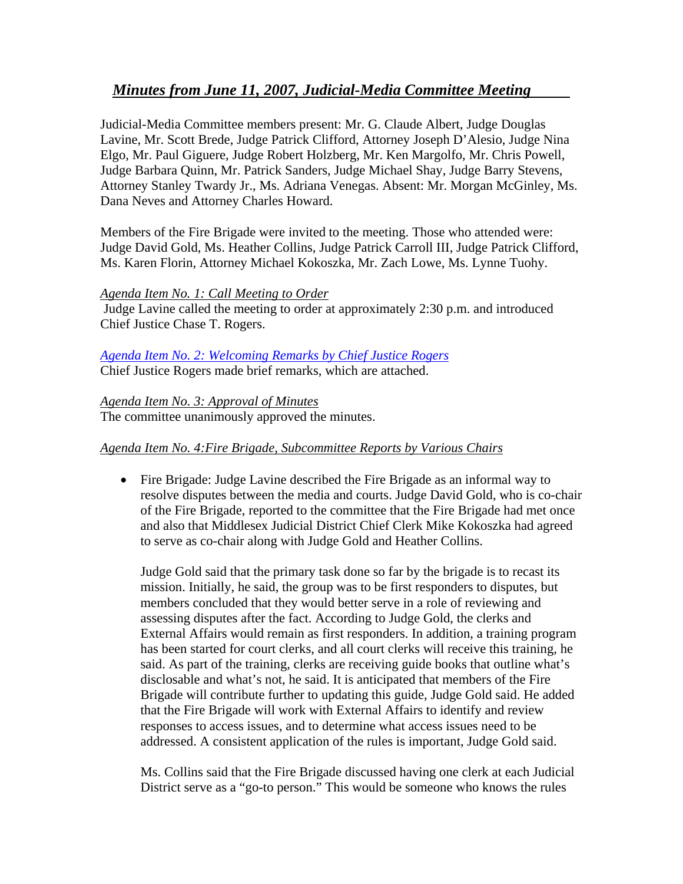## *Minutes from June 11, 2007, Judicial-Media Committee Meeting*

Judicial-Media Committee members present: Mr. G. Claude Albert, Judge Douglas Lavine, Mr. Scott Brede, Judge Patrick Clifford, Attorney Joseph D'Alesio, Judge Nina Elgo, Mr. Paul Giguere, Judge Robert Holzberg, Mr. Ken Margolfo, Mr. Chris Powell, Judge Barbara Quinn, Mr. Patrick Sanders, Judge Michael Shay, Judge Barry Stevens, Attorney Stanley Twardy Jr., Ms. Adriana Venegas. Absent: Mr. Morgan McGinley, Ms. Dana Neves and Attorney Charles Howard.

Members of the Fire Brigade were invited to the meeting. Those who attended were: Judge David Gold, Ms. Heather Collins, Judge Patrick Carroll III, Judge Patrick Clifford, Ms. Karen Florin, Attorney Michael Kokoszka, Mr. Zach Lowe, Ms. Lynne Tuohy.

#### *Agenda Item No. 1: Call Meeting to Order*

Judge Lavine called the meeting to order at approximately 2:30 p.m. and introduced Chief Justice Chase T. Rogers.

#### *[Agenda Item No. 2: Welcoming Remarks by Chief Justice Rogers](http://www.jud.ct.gov/Committees/media/CJ_061107.pdf)* Chief Justice Rogers made brief remarks, which are attached.

*Agenda Item No. 3: Approval of Minutes* The committee unanimously approved the minutes.

### *Agenda Item No. 4:Fire Brigade, Subcommittee Reports by Various Chairs*

• Fire Brigade: Judge Lavine described the Fire Brigade as an informal way to resolve disputes between the media and courts. Judge David Gold, who is co-chair of the Fire Brigade, reported to the committee that the Fire Brigade had met once and also that Middlesex Judicial District Chief Clerk Mike Kokoszka had agreed to serve as co-chair along with Judge Gold and Heather Collins.

 Judge Gold said that the primary task done so far by the brigade is to recast its mission. Initially, he said, the group was to be first responders to disputes, but members concluded that they would better serve in a role of reviewing and assessing disputes after the fact. According to Judge Gold, the clerks and External Affairs would remain as first responders. In addition, a training program has been started for court clerks, and all court clerks will receive this training, he said. As part of the training, clerks are receiving guide books that outline what's disclosable and what's not, he said. It is anticipated that members of the Fire Brigade will contribute further to updating this guide, Judge Gold said. He added that the Fire Brigade will work with External Affairs to identify and review responses to access issues, and to determine what access issues need to be addressed. A consistent application of the rules is important, Judge Gold said.

 Ms. Collins said that the Fire Brigade discussed having one clerk at each Judicial District serve as a "go-to person." This would be someone who knows the rules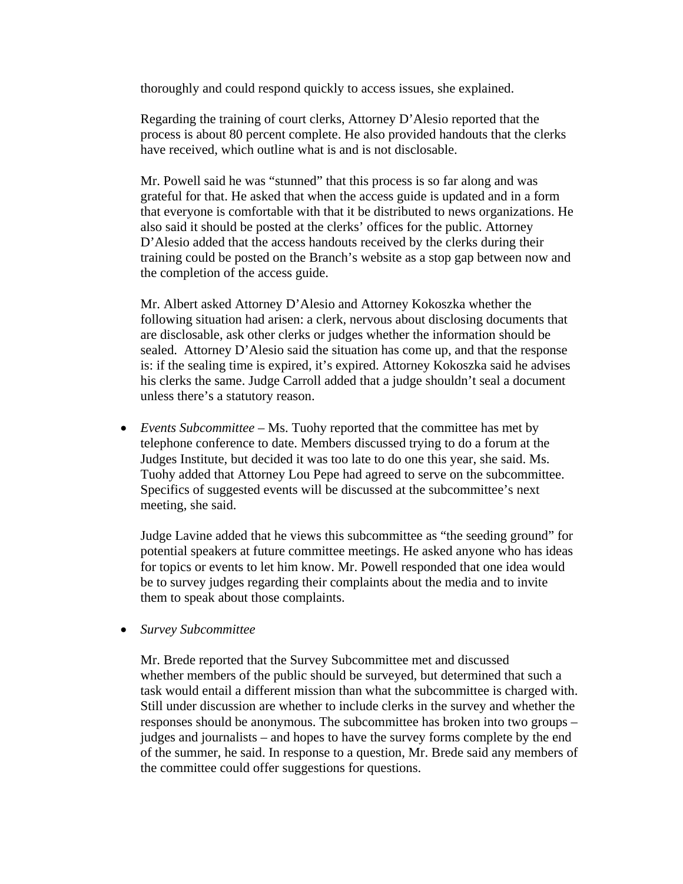thoroughly and could respond quickly to access issues, she explained.

 Regarding the training of court clerks, Attorney D'Alesio reported that the process is about 80 percent complete. He also provided handouts that the clerks have received, which outline what is and is not disclosable.

 Mr. Powell said he was "stunned" that this process is so far along and was grateful for that. He asked that when the access guide is updated and in a form that everyone is comfortable with that it be distributed to news organizations. He also said it should be posted at the clerks' offices for the public. Attorney D'Alesio added that the access handouts received by the clerks during their training could be posted on the Branch's website as a stop gap between now and the completion of the access guide.

 Mr. Albert asked Attorney D'Alesio and Attorney Kokoszka whether the following situation had arisen: a clerk, nervous about disclosing documents that are disclosable, ask other clerks or judges whether the information should be sealed. Attorney D'Alesio said the situation has come up, and that the response is: if the sealing time is expired, it's expired. Attorney Kokoszka said he advises his clerks the same. Judge Carroll added that a judge shouldn't seal a document unless there's a statutory reason.

• *Events Subcommittee –* Ms. Tuohy reported that the committee has met by telephone conference to date. Members discussed trying to do a forum at the Judges Institute, but decided it was too late to do one this year, she said. Ms. Tuohy added that Attorney Lou Pepe had agreed to serve on the subcommittee. Specifics of suggested events will be discussed at the subcommittee's next meeting, she said.

 Judge Lavine added that he views this subcommittee as "the seeding ground" for potential speakers at future committee meetings. He asked anyone who has ideas for topics or events to let him know. Mr. Powell responded that one idea would be to survey judges regarding their complaints about the media and to invite them to speak about those complaints.

• *Survey Subcommittee* 

Mr. Brede reported that the Survey Subcommittee met and discussed whether members of the public should be surveyed, but determined that such a task would entail a different mission than what the subcommittee is charged with. Still under discussion are whether to include clerks in the survey and whether the responses should be anonymous. The subcommittee has broken into two groups – judges and journalists – and hopes to have the survey forms complete by the end of the summer, he said. In response to a question, Mr. Brede said any members of the committee could offer suggestions for questions.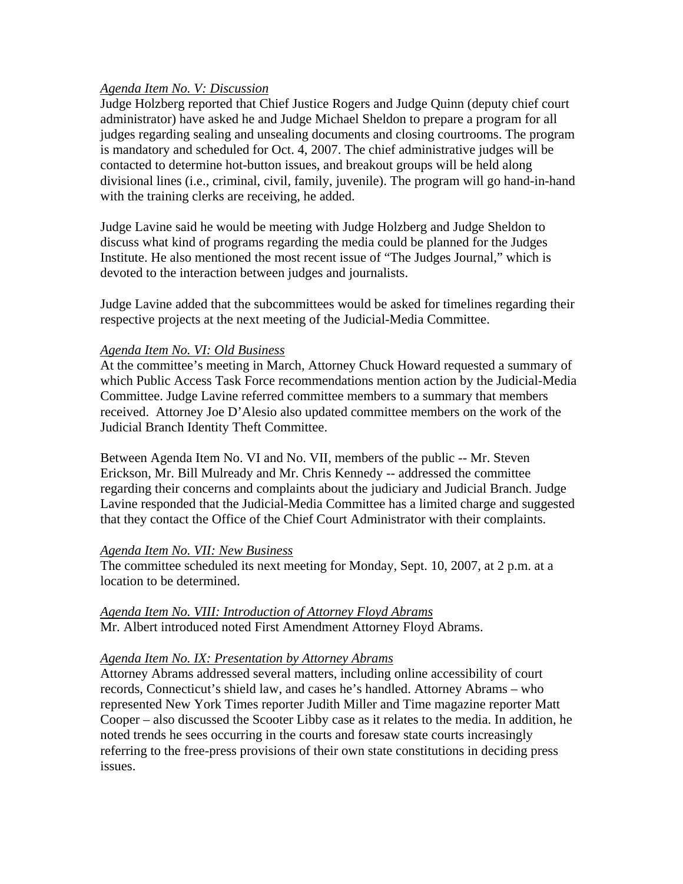#### *Agenda Item No. V: Discussion*

Judge Holzberg reported that Chief Justice Rogers and Judge Quinn (deputy chief court administrator) have asked he and Judge Michael Sheldon to prepare a program for all judges regarding sealing and unsealing documents and closing courtrooms. The program is mandatory and scheduled for Oct. 4, 2007. The chief administrative judges will be contacted to determine hot-button issues, and breakout groups will be held along divisional lines (i.e., criminal, civil, family, juvenile). The program will go hand-in-hand with the training clerks are receiving, he added.

Judge Lavine said he would be meeting with Judge Holzberg and Judge Sheldon to discuss what kind of programs regarding the media could be planned for the Judges Institute. He also mentioned the most recent issue of "The Judges Journal," which is devoted to the interaction between judges and journalists.

Judge Lavine added that the subcommittees would be asked for timelines regarding their respective projects at the next meeting of the Judicial-Media Committee.

#### *Agenda Item No. VI: Old Business*

At the committee's meeting in March, Attorney Chuck Howard requested a summary of which Public Access Task Force recommendations mention action by the Judicial-Media Committee. Judge Lavine referred committee members to a summary that members received. Attorney Joe D'Alesio also updated committee members on the work of the Judicial Branch Identity Theft Committee.

Between Agenda Item No. VI and No. VII, members of the public -- Mr. Steven Erickson, Mr. Bill Mulready and Mr. Chris Kennedy -- addressed the committee regarding their concerns and complaints about the judiciary and Judicial Branch. Judge Lavine responded that the Judicial-Media Committee has a limited charge and suggested that they contact the Office of the Chief Court Administrator with their complaints.

#### *Agenda Item No. VII: New Business*

The committee scheduled its next meeting for Monday, Sept. 10, 2007, at 2 p.m. at a location to be determined.

# *Agenda Item No. VIII: Introduction of Attorney Floyd Abrams*

Mr. Albert introduced noted First Amendment Attorney Floyd Abrams.

#### *Agenda Item No. IX: Presentation by Attorney Abrams*

Attorney Abrams addressed several matters, including online accessibility of court records, Connecticut's shield law, and cases he's handled. Attorney Abrams – who represented New York Times reporter Judith Miller and Time magazine reporter Matt Cooper – also discussed the Scooter Libby case as it relates to the media. In addition, he noted trends he sees occurring in the courts and foresaw state courts increasingly referring to the free-press provisions of their own state constitutions in deciding press issues.